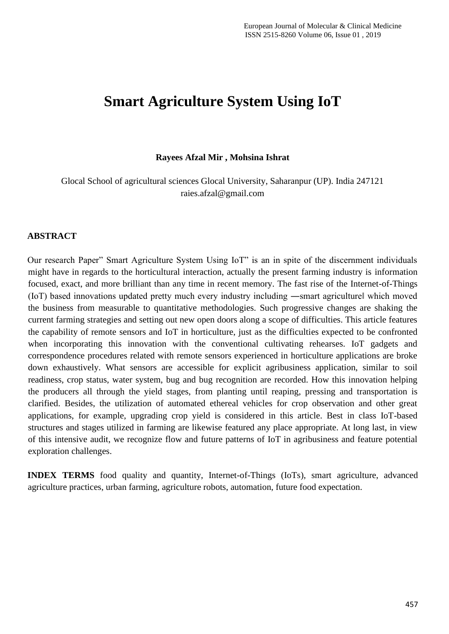# **Smart Agriculture System Using IoT**

**Rayees Afzal Mir , Mohsina Ishrat**

Glocal School of agricultural sciences Glocal University, Saharanpur (UP). India 247121 raies.afzal@gmail.com

## **ABSTRACT**

Our research Paper" Smart Agriculture System Using IoT" is an in spite of the discernment individuals might have in regards to the horticultural interaction, actually the present farming industry is information focused, exact, and more brilliant than any time in recent memory. The fast rise of the Internet-of-Things (IoT) based innovations updated pretty much every industry including ―smart agriculture‖ which moved the business from measurable to quantitative methodologies. Such progressive changes are shaking the current farming strategies and setting out new open doors along a scope of difficulties. This article features the capability of remote sensors and IoT in horticulture, just as the difficulties expected to be confronted when incorporating this innovation with the conventional cultivating rehearses. IoT gadgets and correspondence procedures related with remote sensors experienced in horticulture applications are broke down exhaustively. What sensors are accessible for explicit agribusiness application, similar to soil readiness, crop status, water system, bug and bug recognition are recorded. How this innovation helping the producers all through the yield stages, from planting until reaping, pressing and transportation is clarified. Besides, the utilization of automated ethereal vehicles for crop observation and other great applications, for example, upgrading crop yield is considered in this article. Best in class IoT-based structures and stages utilized in farming are likewise featured any place appropriate. At long last, in view of this intensive audit, we recognize flow and future patterns of IoT in agribusiness and feature potential exploration challenges.

**INDEX TERMS** food quality and quantity, Internet-of-Things (IoTs), smart agriculture, advanced agriculture practices, urban farming, agriculture robots, automation, future food expectation.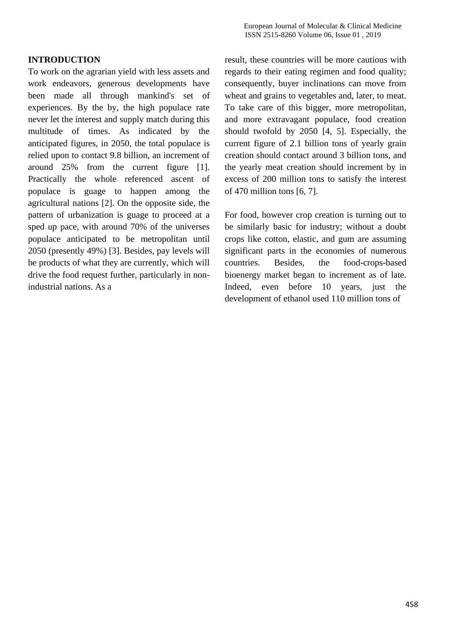# **INTRODUCTION**

To work on the agrarian yield with less assets and work endeavors, generous developments have been made all through mankind's set of experiences. By the by, the high populace rate never let the interest and supply match during this multitude of times. As indicated by the anticipated figures, in 2050, the total populace is relied upon to contact 9.8 billion, an increment of around 25% from the current figure [1]. Practically the whole referenced ascent of populace is guage to happen among the agricultural nations [2]. On the opposite side, the pattern of urbanization is guage to proceed at a sped up pace, with around 70% of the universes populace anticipated to be metropolitan until 2050 (presently 49%) [3]. Besides, pay levels will be products of what they are currently, which will drive the food request further, particularly in nonindustrial nations. As a

result, these countries will be more cautious with regards to their eating regimen and food quality; consequently, buyer inclinations can move from wheat and grains to vegetables and, later, to meat. To take care of this bigger, more metropolitan, and more extravagant populace, food creation should twofold by 2050 [4, 5]. Especially, the current figure of 2.1 billion tons of yearly grain creation should contact around 3 billion tons, and the yearly meat creation should increment by in excess of 200 million tons to satisfy the interest of 470 million tons [6, 7].

For food, however crop creation is turning out to be similarly basic for industry; without a doubt crops like cotton, elastic, and gum are assuming significant parts in the economies of numerous countries. Besides, the food-crops-based bioenergy market began to increment as of late. Indeed, even before 10 years, just the development of ethanol used 110 million tons of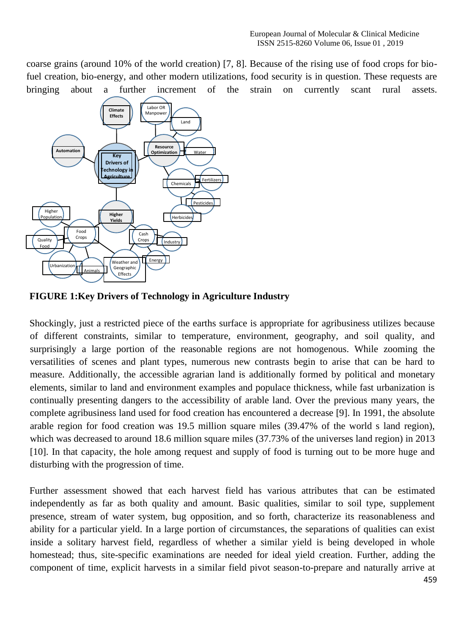coarse grains (around 10% of the world creation) [7, 8]. Because of the rising use of food crops for biofuel creation, bio-energy, and other modern utilizations, food security is in question. These requests are bringing about a further increment of the strain on currently scant rural assets.



**FIGURE 1:Key Drivers of Technology in Agriculture Industry**

Shockingly, just a restricted piece of the earths surface is appropriate for agribusiness utilizes because of different constraints, similar to temperature, environment, geography, and soil quality, and surprisingly a large portion of the reasonable regions are not homogenous. While zooming the versatilities of scenes and plant types, numerous new contrasts begin to arise that can be hard to measure. Additionally, the accessible agrarian land is additionally formed by political and monetary elements, similar to land and environment examples and populace thickness, while fast urbanization is continually presenting dangers to the accessibility of arable land. Over the previous many years, the complete agribusiness land used for food creation has encountered a decrease [9]. In 1991, the absolute arable region for food creation was 19.5 million square miles (39.47% of the world s land region), which was decreased to around 18.6 million square miles (37.73% of the universes land region) in 2013 [10]. In that capacity, the hole among request and supply of food is turning out to be more huge and disturbing with the progression of time.

Further assessment showed that each harvest field has various attributes that can be estimated independently as far as both quality and amount. Basic qualities, similar to soil type, supplement presence, stream of water system, bug opposition, and so forth, characterize its reasonableness and ability for a particular yield. In a large portion of circumstances, the separations of qualities can exist inside a solitary harvest field, regardless of whether a similar yield is being developed in whole homestead; thus, site-specific examinations are needed for ideal yield creation. Further, adding the component of time, explicit harvests in a similar field pivot season-to-prepare and naturally arrive at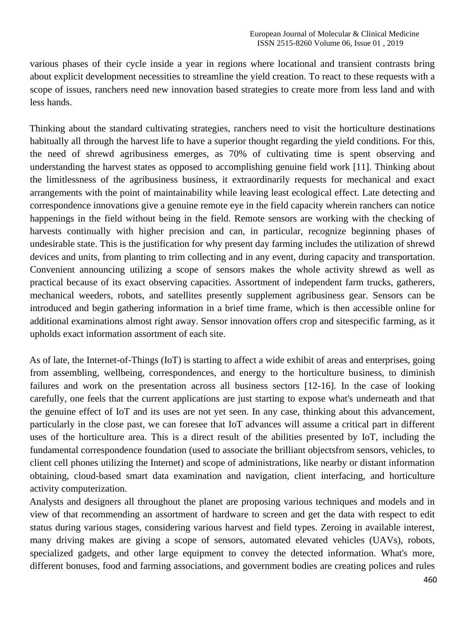various phases of their cycle inside a year in regions where locational and transient contrasts bring about explicit development necessities to streamline the yield creation. To react to these requests with a scope of issues, ranchers need new innovation based strategies to create more from less land and with less hands.

Thinking about the standard cultivating strategies, ranchers need to visit the horticulture destinations habitually all through the harvest life to have a superior thought regarding the yield conditions. For this, the need of shrewd agribusiness emerges, as 70% of cultivating time is spent observing and understanding the harvest states as opposed to accomplishing genuine field work [11]. Thinking about the limitlessness of the agribusiness business, it extraordinarily requests for mechanical and exact arrangements with the point of maintainability while leaving least ecological effect. Late detecting and correspondence innovations give a genuine remote eye in the field capacity wherein ranchers can notice happenings in the field without being in the field. Remote sensors are working with the checking of harvests continually with higher precision and can, in particular, recognize beginning phases of undesirable state. This is the justification for why present day farming includes the utilization of shrewd devices and units, from planting to trim collecting and in any event, during capacity and transportation. Convenient announcing utilizing a scope of sensors makes the whole activity shrewd as well as practical because of its exact observing capacities. Assortment of independent farm trucks, gatherers, mechanical weeders, robots, and satellites presently supplement agribusiness gear. Sensors can be introduced and begin gathering information in a brief time frame, which is then accessible online for additional examinations almost right away. Sensor innovation offers crop and sitespecific farming, as it upholds exact information assortment of each site.

As of late, the Internet-of-Things (IoT) is starting to affect a wide exhibit of areas and enterprises, going from assembling, wellbeing, correspondences, and energy to the horticulture business, to diminish failures and work on the presentation across all business sectors [12-16]. In the case of looking carefully, one feels that the current applications are just starting to expose what's underneath and that the genuine effect of IoT and its uses are not yet seen. In any case, thinking about this advancement, particularly in the close past, we can foresee that IoT advances will assume a critical part in different uses of the horticulture area. This is a direct result of the abilities presented by IoT, including the fundamental correspondence foundation (used to associate the brilliant objectsfrom sensors, vehicles, to client cell phones utilizing the Internet) and scope of administrations, like nearby or distant information obtaining, cloud-based smart data examination and navigation, client interfacing, and horticulture activity computerization.

Analysts and designers all throughout the planet are proposing various techniques and models and in view of that recommending an assortment of hardware to screen and get the data with respect to edit status during various stages, considering various harvest and field types. Zeroing in available interest, many driving makes are giving a scope of sensors, automated elevated vehicles (UAVs), robots, specialized gadgets, and other large equipment to convey the detected information. What's more, different bonuses, food and farming associations, and government bodies are creating polices and rules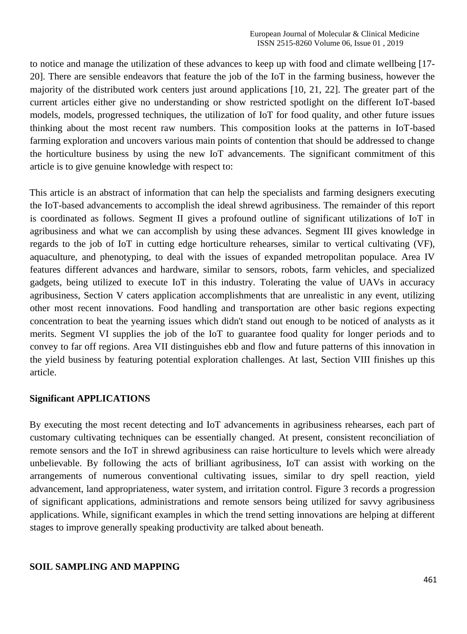to notice and manage the utilization of these advances to keep up with food and climate wellbeing [17- 20]. There are sensible endeavors that feature the job of the IoT in the farming business, however the majority of the distributed work centers just around applications [10, 21, 22]. The greater part of the current articles either give no understanding or show restricted spotlight on the different IoT-based models, models, progressed techniques, the utilization of IoT for food quality, and other future issues thinking about the most recent raw numbers. This composition looks at the patterns in IoT-based farming exploration and uncovers various main points of contention that should be addressed to change the horticulture business by using the new IoT advancements. The significant commitment of this article is to give genuine knowledge with respect to:

This article is an abstract of information that can help the specialists and farming designers executing the IoT-based advancements to accomplish the ideal shrewd agribusiness. The remainder of this report is coordinated as follows. Segment II gives a profound outline of significant utilizations of IoT in agribusiness and what we can accomplish by using these advances. Segment III gives knowledge in regards to the job of IoT in cutting edge horticulture rehearses, similar to vertical cultivating (VF), aquaculture, and phenotyping, to deal with the issues of expanded metropolitan populace. Area IV features different advances and hardware, similar to sensors, robots, farm vehicles, and specialized gadgets, being utilized to execute IoT in this industry. Tolerating the value of UAVs in accuracy agribusiness, Section V caters application accomplishments that are unrealistic in any event, utilizing other most recent innovations. Food handling and transportation are other basic regions expecting concentration to beat the yearning issues which didn't stand out enough to be noticed of analysts as it merits. Segment VI supplies the job of the IoT to guarantee food quality for longer periods and to convey to far off regions. Area VII distinguishes ebb and flow and future patterns of this innovation in the yield business by featuring potential exploration challenges. At last, Section VIII finishes up this article.

#### **Significant APPLICATIONS**

By executing the most recent detecting and IoT advancements in agribusiness rehearses, each part of customary cultivating techniques can be essentially changed. At present, consistent reconciliation of remote sensors and the IoT in shrewd agribusiness can raise horticulture to levels which were already unbelievable. By following the acts of brilliant agribusiness, IoT can assist with working on the arrangements of numerous conventional cultivating issues, similar to dry spell reaction, yield advancement, land appropriateness, water system, and irritation control. Figure 3 records a progression of significant applications, administrations and remote sensors being utilized for savvy agribusiness applications. While, significant examples in which the trend setting innovations are helping at different stages to improve generally speaking productivity are talked about beneath.

#### **SOIL SAMPLING AND MAPPING**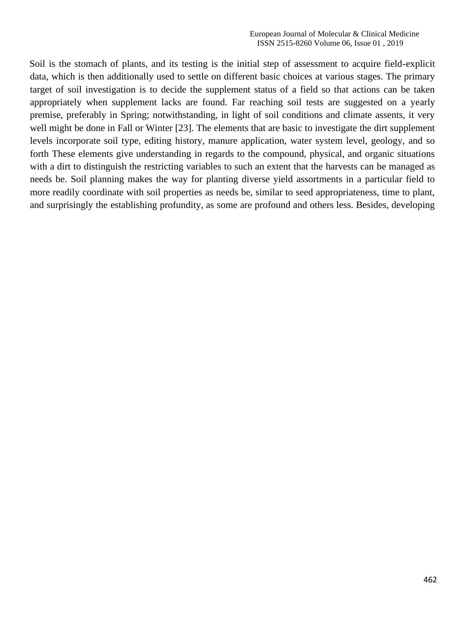Soil is the stomach of plants, and its testing is the initial step of assessment to acquire field-explicit data, which is then additionally used to settle on different basic choices at various stages. The primary target of soil investigation is to decide the supplement status of a field so that actions can be taken appropriately when supplement lacks are found. Far reaching soil tests are suggested on a yearly premise, preferably in Spring; notwithstanding, in light of soil conditions and climate assents, it very well might be done in Fall or Winter [23]. The elements that are basic to investigate the dirt supplement levels incorporate soil type, editing history, manure application, water system level, geology, and so forth These elements give understanding in regards to the compound, physical, and organic situations with a dirt to distinguish the restricting variables to such an extent that the harvests can be managed as needs be. Soil planning makes the way for planting diverse yield assortments in a particular field to more readily coordinate with soil properties as needs be, similar to seed appropriateness, time to plant, and surprisingly the establishing profundity, as some are profound and others less. Besides, developing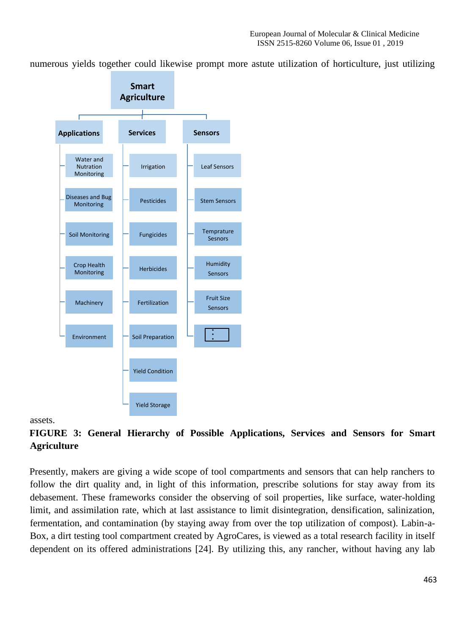numerous yields together could likewise prompt more astute utilization of horticulture, just utilizing



#### assets.

**FIGURE 3: General Hierarchy of Possible Applications, Services and Sensors for Smart Agriculture** 

Presently, makers are giving a wide scope of tool compartments and sensors that can help ranchers to follow the dirt quality and, in light of this information, prescribe solutions for stay away from its debasement. These frameworks consider the observing of soil properties, like surface, water-holding limit, and assimilation rate, which at last assistance to limit disintegration, densification, salinization, fermentation, and contamination (by staying away from over the top utilization of compost). Labin-a-Box, a dirt testing tool compartment created by AgroCares, is viewed as a total research facility in itself dependent on its offered administrations [24]. By utilizing this, any rancher, without having any lab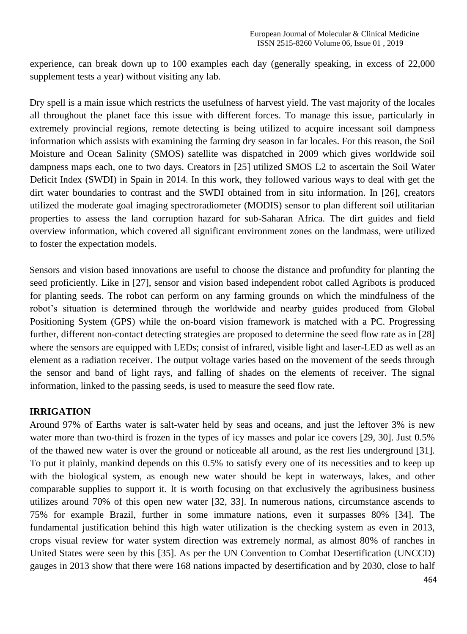experience, can break down up to 100 examples each day (generally speaking, in excess of 22,000 supplement tests a year) without visiting any lab.

Dry spell is a main issue which restricts the usefulness of harvest yield. The vast majority of the locales all throughout the planet face this issue with different forces. To manage this issue, particularly in extremely provincial regions, remote detecting is being utilized to acquire incessant soil dampness information which assists with examining the farming dry season in far locales. For this reason, the Soil Moisture and Ocean Salinity (SMOS) satellite was dispatched in 2009 which gives worldwide soil dampness maps each, one to two days. Creators in [25] utilized SMOS L2 to ascertain the Soil Water Deficit Index (SWDI) in Spain in 2014. In this work, they followed various ways to deal with get the dirt water boundaries to contrast and the SWDI obtained from in situ information. In [26], creators utilized the moderate goal imaging spectroradiometer (MODIS) sensor to plan different soil utilitarian properties to assess the land corruption hazard for sub-Saharan Africa. The dirt guides and field overview information, which covered all significant environment zones on the landmass, were utilized to foster the expectation models.

Sensors and vision based innovations are useful to choose the distance and profundity for planting the seed proficiently. Like in [27], sensor and vision based independent robot called Agribots is produced for planting seeds. The robot can perform on any farming grounds on which the mindfulness of the robot's situation is determined through the worldwide and nearby guides produced from Global Positioning System (GPS) while the on-board vision framework is matched with a PC. Progressing further, different non-contact detecting strategies are proposed to determine the seed flow rate as in [28] where the sensors are equipped with LEDs; consist of infrared, visible light and laser-LED as well as an element as a radiation receiver. The output voltage varies based on the movement of the seeds through the sensor and band of light rays, and falling of shades on the elements of receiver. The signal information, linked to the passing seeds, is used to measure the seed flow rate.

#### **IRRIGATION**

Around 97% of Earths water is salt-water held by seas and oceans, and just the leftover 3% is new water more than two-third is frozen in the types of icy masses and polar ice covers [29, 30]. Just 0.5% of the thawed new water is over the ground or noticeable all around, as the rest lies underground [31]. To put it plainly, mankind depends on this 0.5% to satisfy every one of its necessities and to keep up with the biological system, as enough new water should be kept in waterways, lakes, and other comparable supplies to support it. It is worth focusing on that exclusively the agribusiness business utilizes around 70% of this open new water [32, 33]. In numerous nations, circumstance ascends to 75% for example Brazil, further in some immature nations, even it surpasses 80% [34]. The fundamental justification behind this high water utilization is the checking system as even in 2013, crops visual review for water system direction was extremely normal, as almost 80% of ranches in United States were seen by this [35]. As per the UN Convention to Combat Desertification (UNCCD) gauges in 2013 show that there were 168 nations impacted by desertification and by 2030, close to half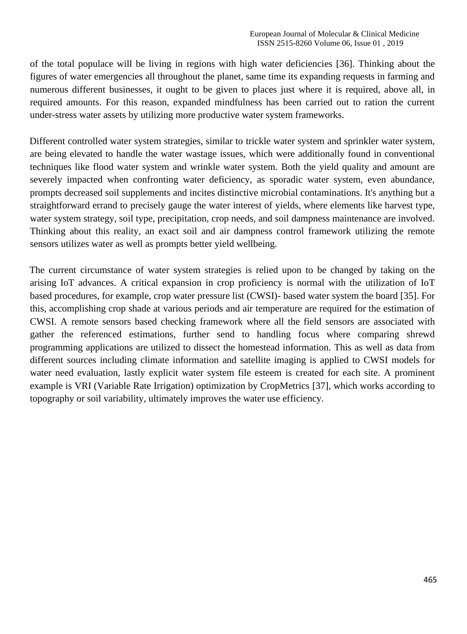of the total populace will be living in regions with high water deficiencies [36]. Thinking about the figures of water emergencies all throughout the planet, same time its expanding requests in farming and numerous different businesses, it ought to be given to places just where it is required, above all, in required amounts. For this reason, expanded mindfulness has been carried out to ration the current under-stress water assets by utilizing more productive water system frameworks.

Different controlled water system strategies, similar to trickle water system and sprinkler water system, are being elevated to handle the water wastage issues, which were additionally found in conventional techniques like flood water system and wrinkle water system. Both the yield quality and amount are severely impacted when confronting water deficiency, as sporadic water system, even abundance, prompts decreased soil supplements and incites distinctive microbial contaminations. It's anything but a straightforward errand to precisely gauge the water interest of yields, where elements like harvest type, water system strategy, soil type, precipitation, crop needs, and soil dampness maintenance are involved. Thinking about this reality, an exact soil and air dampness control framework utilizing the remote sensors utilizes water as well as prompts better yield wellbeing.

The current circumstance of water system strategies is relied upon to be changed by taking on the arising IoT advances. A critical expansion in crop proficiency is normal with the utilization of IoT based procedures, for example, crop water pressure list (CWSI)- based water system the board [35]. For this, accomplishing crop shade at various periods and air temperature are required for the estimation of CWSI. A remote sensors based checking framework where all the field sensors are associated with gather the referenced estimations, further send to handling focus where comparing shrewd programming applications are utilized to dissect the homestead information. This as well as data from different sources including climate information and satellite imaging is applied to CWSI models for water need evaluation, lastly explicit water system file esteem is created for each site. A prominent example is VRI (Variable Rate Irrigation) optimization by CropMetrics [37], which works according to topography or soil variability, ultimately improves the water use efficiency.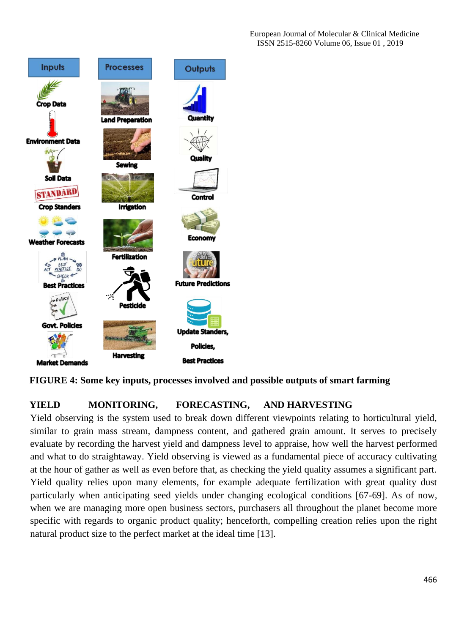European Journal of Molecular & Clinical Medicine ISSN 2515-8260 Volume 06, Issue 01 , 2019



**FIGURE 4: Some key inputs, processes involved and possible outputs of smart farming** 

# **YIELD MONITORING, FORECASTING, AND HARVESTING**

Yield observing is the system used to break down different viewpoints relating to horticultural yield, similar to grain mass stream, dampness content, and gathered grain amount. It serves to precisely evaluate by recording the harvest yield and dampness level to appraise, how well the harvest performed and what to do straightaway. Yield observing is viewed as a fundamental piece of accuracy cultivating at the hour of gather as well as even before that, as checking the yield quality assumes a significant part. Yield quality relies upon many elements, for example adequate fertilization with great quality dust particularly when anticipating seed yields under changing ecological conditions [67-69]. As of now, when we are managing more open business sectors, purchasers all throughout the planet become more specific with regards to organic product quality; henceforth, compelling creation relies upon the right natural product size to the perfect market at the ideal time [13].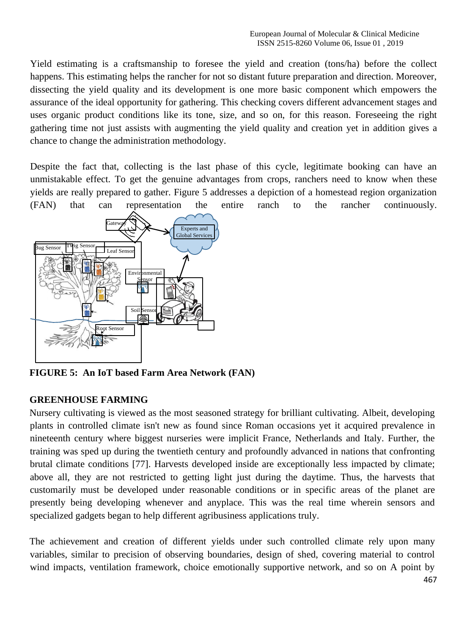Yield estimating is a craftsmanship to foresee the yield and creation (tons/ha) before the collect happens. This estimating helps the rancher for not so distant future preparation and direction. Moreover, dissecting the yield quality and its development is one more basic component which empowers the assurance of the ideal opportunity for gathering. This checking covers different advancement stages and uses organic product conditions like its tone, size, and so on, for this reason. Foreseeing the right gathering time not just assists with augmenting the yield quality and creation yet in addition gives a chance to change the administration methodology.

Despite the fact that, collecting is the last phase of this cycle, legitimate booking can have an unmistakable effect. To get the genuine advantages from crops, ranchers need to know when these yields are really prepared to gather. Figure 5 addresses a depiction of a homestead region organization (FAN) that can representation the entire ranch to the rancher continuously.



**FIGURE 5: An IoT based Farm Area Network (FAN)** 

# **GREENHOUSE FARMING**

Nursery cultivating is viewed as the most seasoned strategy for brilliant cultivating. Albeit, developing plants in controlled climate isn't new as found since Roman occasions yet it acquired prevalence in nineteenth century where biggest nurseries were implicit France, Netherlands and Italy. Further, the training was sped up during the twentieth century and profoundly advanced in nations that confronting brutal climate conditions [77]. Harvests developed inside are exceptionally less impacted by climate; above all, they are not restricted to getting light just during the daytime. Thus, the harvests that customarily must be developed under reasonable conditions or in specific areas of the planet are presently being developing whenever and anyplace. This was the real time wherein sensors and specialized gadgets began to help different agribusiness applications truly.

The achievement and creation of different yields under such controlled climate rely upon many variables, similar to precision of observing boundaries, design of shed, covering material to control wind impacts, ventilation framework, choice emotionally supportive network, and so on A point by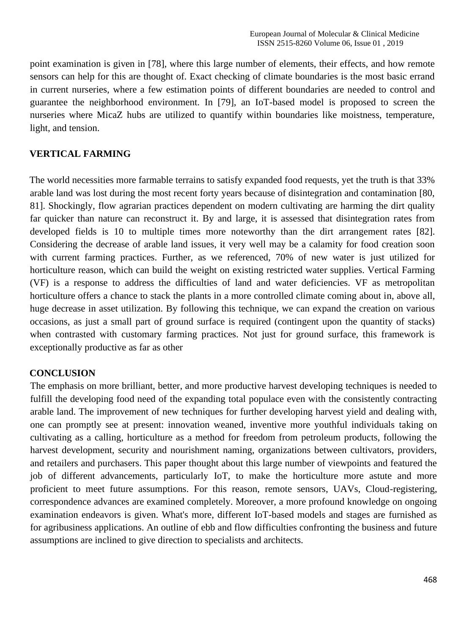point examination is given in [78], where this large number of elements, their effects, and how remote sensors can help for this are thought of. Exact checking of climate boundaries is the most basic errand in current nurseries, where a few estimation points of different boundaries are needed to control and guarantee the neighborhood environment. In [79], an IoT-based model is proposed to screen the nurseries where MicaZ hubs are utilized to quantify within boundaries like moistness, temperature, light, and tension.

## **VERTICAL FARMING**

The world necessities more farmable terrains to satisfy expanded food requests, yet the truth is that 33% arable land was lost during the most recent forty years because of disintegration and contamination [80, 81]. Shockingly, flow agrarian practices dependent on modern cultivating are harming the dirt quality far quicker than nature can reconstruct it. By and large, it is assessed that disintegration rates from developed fields is 10 to multiple times more noteworthy than the dirt arrangement rates [82]. Considering the decrease of arable land issues, it very well may be a calamity for food creation soon with current farming practices. Further, as we referenced, 70% of new water is just utilized for horticulture reason, which can build the weight on existing restricted water supplies. Vertical Farming (VF) is a response to address the difficulties of land and water deficiencies. VF as metropolitan horticulture offers a chance to stack the plants in a more controlled climate coming about in, above all, huge decrease in asset utilization. By following this technique, we can expand the creation on various occasions, as just a small part of ground surface is required (contingent upon the quantity of stacks) when contrasted with customary farming practices. Not just for ground surface, this framework is exceptionally productive as far as other

#### **CONCLUSION**

The emphasis on more brilliant, better, and more productive harvest developing techniques is needed to fulfill the developing food need of the expanding total populace even with the consistently contracting arable land. The improvement of new techniques for further developing harvest yield and dealing with, one can promptly see at present: innovation weaned, inventive more youthful individuals taking on cultivating as a calling, horticulture as a method for freedom from petroleum products, following the harvest development, security and nourishment naming, organizations between cultivators, providers, and retailers and purchasers. This paper thought about this large number of viewpoints and featured the job of different advancements, particularly IoT, to make the horticulture more astute and more proficient to meet future assumptions. For this reason, remote sensors, UAVs, Cloud-registering, correspondence advances are examined completely. Moreover, a more profound knowledge on ongoing examination endeavors is given. What's more, different IoT-based models and stages are furnished as for agribusiness applications. An outline of ebb and flow difficulties confronting the business and future assumptions are inclined to give direction to specialists and architects.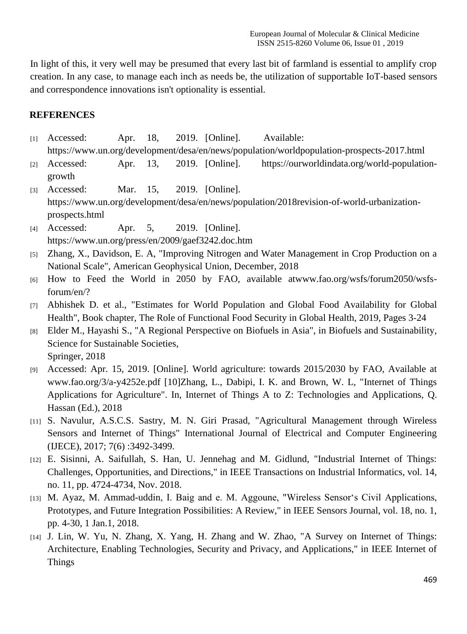In light of this, it very well may be presumed that every last bit of farmland is essential to amplify crop creation. In any case, to manage each inch as needs be, the utilization of supportable IoT-based sensors and correspondence innovations isn't optionality is essential.

### **REFERENCES**

- [1] Accessed: Apr. 18, 2019. [Online]. Available: https://www.un.org/development/desa/en/news/population/worldpopulation-prospects-2017.html
- [2] Accessed: Apr. 13, 2019. [Online]. https://ourworldindata.org/world-populationgrowth
- [3] Accessed: Mar. 15, 2019. [Online]. https://www.un.org/development/desa/en/news/population/2018revision-of-world-urbanizationprospects.html
- [4] Accessed: Apr. 5, 2019. [Online]. https://www.un.org/press/en/2009/gaef3242.doc.htm
- [5] Zhang, X., Davidson, E. A, "Improving Nitrogen and Water Management in Crop Production on a National Scale", American Geophysical Union, December, 2018
- [6] How to Feed the World in 2050 by FAO, available atwww.fao.org/wsfs/forum2050/wsfsforum/en/?
- [7] Abhishek D. et al., "Estimates for World Population and Global Food Availability for Global Health", Book chapter, The Role of Functional Food Security in Global Health, 2019, Pages 3-24
- [8] Elder M., Hayashi S., "A Regional Perspective on Biofuels in Asia", in Biofuels and Sustainability, Science for Sustainable Societies, Springer, 2018
- [9] Accessed: Apr. 15, 2019. [Online]. World agriculture: towards 2015/2030 by FAO, Available at www.fao.org/3/a-y4252e.pdf [10]Zhang, L., Dabipi, I. K. and Brown, W. L, "Internet of Things Applications for Agriculture". In, Internet of Things A to Z: Technologies and Applications, Q. Hassan (Ed.), 2018
- [11] S. Navulur, A.S.C.S. Sastry, M. N. Giri Prasad, "Agricultural Management through Wireless Sensors and Internet of Things" International Journal of Electrical and Computer Engineering (IJECE), 2017; 7(6) :3492-3499.
- [12] E. Sisinni, A. Saifullah, S. Han, U. Jennehag and M. Gidlund, "Industrial Internet of Things: Challenges, Opportunities, and Directions," in IEEE Transactions on Industrial Informatics, vol. 14, no. 11, pp. 4724-4734, Nov. 2018.
- [13] M. Ayaz, M. Ammad-uddin, I. Baig and e. M. Aggoune, "Wireless Sensor's Civil Applications, Prototypes, and Future Integration Possibilities: A Review," in IEEE Sensors Journal, vol. 18, no. 1, pp. 4-30, 1 Jan.1, 2018.
- [14] J. Lin, W. Yu, N. Zhang, X. Yang, H. Zhang and W. Zhao, "A Survey on Internet of Things: Architecture, Enabling Technologies, Security and Privacy, and Applications," in IEEE Internet of Things